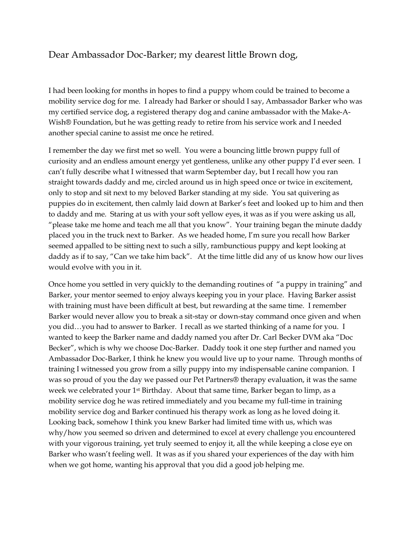## Dear Ambassador Doc-Barker; my dearest little Brown dog,

I had been looking for months in hopes to find a puppy whom could be trained to become a mobility service dog for me. I already had Barker or should I say, Ambassador Barker who was my certified service dog, a registered therapy dog and canine ambassador with the Make-A-Wish® Foundation, but he was getting ready to retire from his service work and I needed another special canine to assist me once he retired.

I remember the day we first met so well. You were a bouncing little brown puppy full of curiosity and an endless amount energy yet gentleness, unlike any other puppy I'd ever seen. I can't fully describe what I witnessed that warm September day, but I recall how you ran straight towards daddy and me, circled around us in high speed once or twice in excitement, only to stop and sit next to my beloved Barker standing at my side. You sat quivering as puppies do in excitement, then calmly laid down at Barker's feet and looked up to him and then to daddy and me. Staring at us with your soft yellow eyes, it was as if you were asking us all, "please take me home and teach me all that you know". Your training began the minute daddy placed you in the truck next to Barker. As we headed home, I'm sure you recall how Barker seemed appalled to be sitting next to such a silly, rambunctious puppy and kept looking at daddy as if to say, "Can we take him back". At the time little did any of us know how our lives would evolve with you in it.

Once home you settled in very quickly to the demanding routines of "a puppy in training" and Barker, your mentor seemed to enjoy always keeping you in your place. Having Barker assist with training must have been difficult at best, but rewarding at the same time. I remember Barker would never allow you to break a sit-stay or down-stay command once given and when you did…you had to answer to Barker. I recall as we started thinking of a name for you. I wanted to keep the Barker name and daddy named you after Dr. Carl Becker DVM aka "Doc Becker", which is why we choose Doc-Barker. Daddy took it one step further and named you Ambassador Doc-Barker, I think he knew you would live up to your name. Through months of training I witnessed you grow from a silly puppy into my indispensable canine companion. I was so proud of you the day we passed our Pet Partners® therapy evaluation, it was the same week we celebrated your 1st Birthday. About that same time, Barker began to limp, as a mobility service dog he was retired immediately and you became my full-time in training mobility service dog and Barker continued his therapy work as long as he loved doing it. Looking back, somehow I think you knew Barker had limited time with us, which was why/how you seemed so driven and determined to excel at every challenge you encountered with your vigorous training, yet truly seemed to enjoy it, all the while keeping a close eye on Barker who wasn't feeling well. It was as if you shared your experiences of the day with him when we got home, wanting his approval that you did a good job helping me.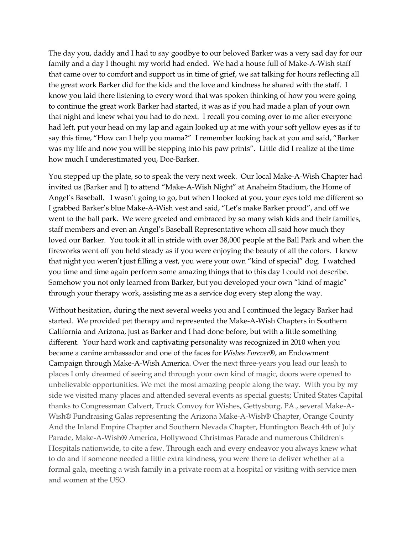The day you, daddy and I had to say goodbye to our beloved Barker was a very sad day for our family and a day I thought my world had ended. We had a house full of Make-A-Wish staff that came over to comfort and support us in time of grief, we sat talking for hours reflecting all the great work Barker did for the kids and the love and kindness he shared with the staff. I know you laid there listening to every word that was spoken thinking of how you were going to continue the great work Barker had started, it was as if you had made a plan of your own that night and knew what you had to do next. I recall you coming over to me after everyone had left, put your head on my lap and again looked up at me with your soft yellow eyes as if to say this time, "How can I help you mama?" I remember looking back at you and said, "Barker was my life and now you will be stepping into his paw prints". Little did I realize at the time how much I underestimated you, Doc-Barker.

You stepped up the plate, so to speak the very next week. Our local Make-A-Wish Chapter had invited us (Barker and I) to attend "Make-A-Wish Night" at Anaheim Stadium, the Home of Angel's Baseball. I wasn't going to go, but when I looked at you, your eyes told me different so I grabbed Barker's blue Make-A-Wish vest and said, "Let's make Barker proud", and off we went to the ball park. We were greeted and embraced by so many wish kids and their families, staff members and even an Angel's Baseball Representative whom all said how much they loved our Barker. You took it all in stride with over 38,000 people at the Ball Park and when the fireworks went off you held steady as if you were enjoying the beauty of all the colors. I knew that night you weren't just filling a vest, you were your own "kind of special" dog. I watched you time and time again perform some amazing things that to this day I could not describe. Somehow you not only learned from Barker, but you developed your own "kind of magic" through your therapy work, assisting me as a service dog every step along the way.

Without hesitation, during the next several weeks you and I continued the legacy Barker had started. We provided pet therapy and represented the Make-A-Wish Chapters in Southern California and Arizona, just as Barker and I had done before, but with a little something different. Your hard work and captivating personality was recognized in 2010 when you became a canine ambassador and one of the faces for *Wishes Forever*®, an Endowment Campaign through Make-A-Wish America. Over the next three-years you lead our leash to places I only dreamed of seeing and through your own kind of magic, doors were opened to unbelievable opportunities. We met the most amazing people along the way. With you by my side we visited many places and attended several events as special guests; United States Capital thanks to Congressman Calvert, Truck Convoy for Wishes, Gettysburg, PA., several Make-A-Wish® Fundraising Galas representing the Arizona Make-A-Wish® Chapter, Orange County And the Inland Empire Chapter and Southern Nevada Chapter, Huntington Beach 4th of July Parade, Make-A-Wish® America, Hollywood Christmas Parade and numerous Children's Hospitals nationwide, to cite a few. Through each and every endeavor you always knew what to do and if someone needed a little extra kindness, you were there to deliver whether at a formal gala, meeting a wish family in a private room at a hospital or visiting with service men and women at the USO.